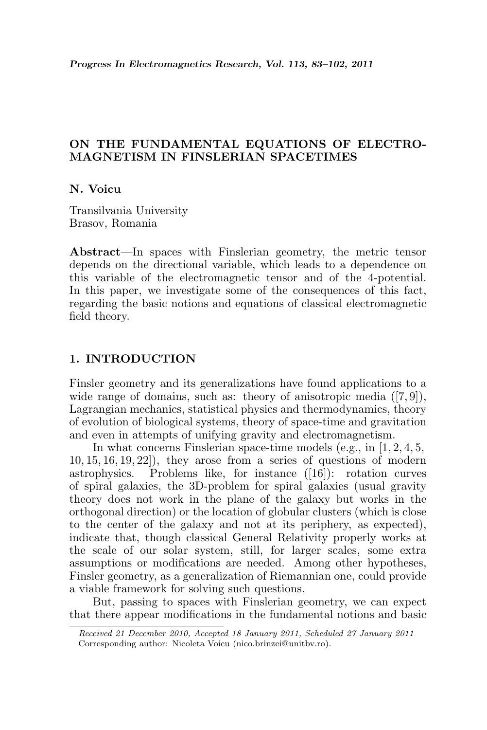# ON THE FUNDAMENTAL EQUATIONS OF ELECTRO-MAGNETISM IN FINSLERIAN SPACETIMES

## N. Voicu

Transilvania University Brasov, Romania

Abstract—In spaces with Finslerian geometry, the metric tensor depends on the directional variable, which leads to a dependence on this variable of the electromagnetic tensor and of the 4-potential. In this paper, we investigate some of the consequences of this fact, regarding the basic notions and equations of classical electromagnetic field theory.

## 1. INTRODUCTION

Finsler geometry and its generalizations have found applications to a wide range of domains, such as: theory of anisotropic media  $([7, 9])$ , Lagrangian mechanics, statistical physics and thermodynamics, theory of evolution of biological systems, theory of space-time and gravitation and even in attempts of unifying gravity and electromagnetism.

In what concerns Finslerian space-time models (e.g., in [1, 2, 4, 5, 10, 15, 16, 19, 22]), they arose from a series of questions of modern astrophysics. Problems like, for instance ([16]): rotation curves of spiral galaxies, the 3D-problem for spiral galaxies (usual gravity theory does not work in the plane of the galaxy but works in the orthogonal direction) or the location of globular clusters (which is close to the center of the galaxy and not at its periphery, as expected), indicate that, though classical General Relativity properly works at the scale of our solar system, still, for larger scales, some extra assumptions or modifications are needed. Among other hypotheses, Finsler geometry, as a generalization of Riemannian one, could provide a viable framework for solving such questions.

But, passing to spaces with Finslerian geometry, we can expect that there appear modifications in the fundamental notions and basic

Received 21 December 2010, Accepted 18 January 2011, Scheduled 27 January 2011 Corresponding author: Nicoleta Voicu (nico.brinzei@unitbv.ro).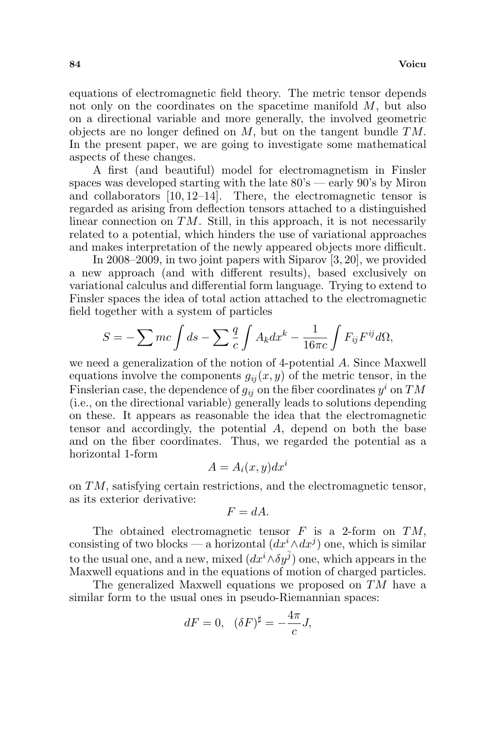equations of electromagnetic field theory. The metric tensor depends not only on the coordinates on the spacetime manifold M, but also on a directional variable and more generally, the involved geometric objects are no longer defined on M, but on the tangent bundle TM. In the present paper, we are going to investigate some mathematical aspects of these changes.

A first (and beautiful) model for electromagnetism in Finsler spaces was developed starting with the late  $80\degree$  — early  $90\degree$  by Miron and collaborators [10, 12–14]. There, the electromagnetic tensor is regarded as arising from deflection tensors attached to a distinguished linear connection on  $TM$ . Still, in this approach, it is not necessarily related to a potential, which hinders the use of variational approaches and makes interpretation of the newly appeared objects more difficult.

In 2008–2009, in two joint papers with Siparov [3, 20], we provided a new approach (and with different results), based exclusively on variational calculus and differential form language. Trying to extend to Finsler spaces the idea of total action attached to the electromagnetic field together with a system of particles

$$
S = -\sum mc \int ds - \sum \frac{q}{c} \int A_k dx^k - \frac{1}{16\pi c} \int F_{ij} F^{ij} d\Omega,
$$

we need a generalization of the notion of 4-potential A. Since Maxwell equations involve the components  $g_{ii}(x, y)$  of the metric tensor, in the Finslerian case, the dependence of  $g_{ij}$  on the fiber coordinates  $y^i$  on  $TM$ (i.e., on the directional variable) generally leads to solutions depending on these. It appears as reasonable the idea that the electromagnetic tensor and accordingly, the potential A, depend on both the base and on the fiber coordinates. Thus, we regarded the potential as a horizontal 1-form

$$
A = A_i(x, y) dx^i
$$

on TM, satisfying certain restrictions, and the electromagnetic tensor, as its exterior derivative:

$$
F = dA.
$$

The obtained electromagnetic tensor  $F$  is a 2-form on  $TM$ , consisting of two blocks — a horizontal  $(dx^{i} \wedge dx^{j})$  one, which is similar to the usual one, and a new, mixed  $(dx^{i} \wedge \delta y^{\overline{j}})$  one, which appears in the Maxwell equations and in the equations of motion of charged particles.

The generalized Maxwell equations we proposed on TM have a similar form to the usual ones in pseudo-Riemannian spaces:

$$
dF = 0, \ \ (\delta F)^{\sharp} = -\frac{4\pi}{c}J,
$$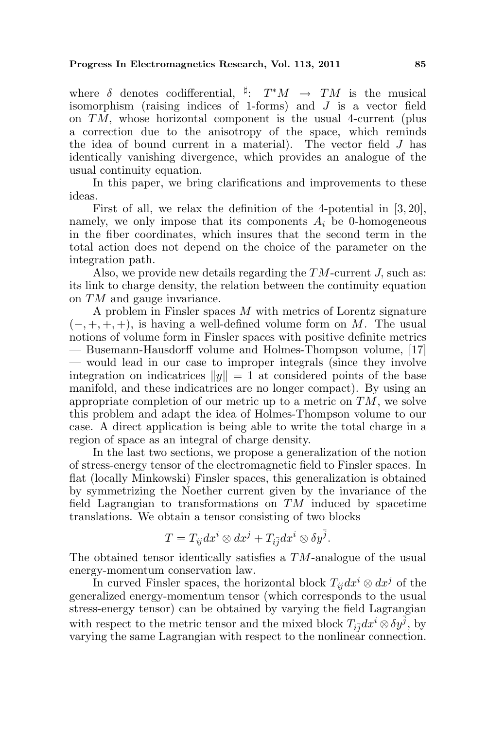where  $\delta$  denotes codifferential,  $\sharp: T^*M \to TM$  is the musical isomorphism (raising indices of 1-forms) and J is a vector field on TM, whose horizontal component is the usual 4-current (plus a correction due to the anisotropy of the space, which reminds the idea of bound current in a material). The vector field J has identically vanishing divergence, which provides an analogue of the usual continuity equation.

In this paper, we bring clarifications and improvements to these ideas.

First of all, we relax the definition of the 4-potential in [3, 20], namely, we only impose that its components  $A_i$  be 0-homogeneous in the fiber coordinates, which insures that the second term in the total action does not depend on the choice of the parameter on the integration path.

Also, we provide new details regarding the TM-current J, such as: its link to charge density, the relation between the continuity equation on TM and gauge invariance.

A problem in Finsler spaces M with metrics of Lorentz signature  $(-, +, +, +)$ , is having a well-defined volume form on M. The usual notions of volume form in Finsler spaces with positive definite metrics — Busemann-Hausdorff volume and Holmes-Thompson volume, [17] — would lead in our case to improper integrals (since they involve integration on indicatrices  $||y|| = 1$  at considered points of the base manifold, and these indicatrices are no longer compact). By using an appropriate completion of our metric up to a metric on  $TM$ , we solve this problem and adapt the idea of Holmes-Thompson volume to our case. A direct application is being able to write the total charge in a region of space as an integral of charge density.

In the last two sections, we propose a generalization of the notion of stress-energy tensor of the electromagnetic field to Finsler spaces. In flat (locally Minkowski) Finsler spaces, this generalization is obtained by symmetrizing the Noether current given by the invariance of the field Lagrangian to transformations on  $TM$  induced by spacetime translations. We obtain a tensor consisting of two blocks

$$
T = T_{ij} dx^{i} \otimes dx^{j} + T_{i\overline{j}} dx^{i} \otimes \delta y^{\overline{j}}.
$$

The obtained tensor identically satisfies a TM-analogue of the usual energy-momentum conservation law.

In curved Finsler spaces, the horizontal block  $T_{ii} dx^{i} \otimes dx^{j}$  of the generalized energy-momentum tensor (which corresponds to the usual stress-energy tensor) can be obtained by varying the field Lagrangian with respect to the metric tensor and the mixed block  $T_{i\bar{j}}dx^i \otimes \delta y^{\bar{j}}$ , by varying the same Lagrangian with respect to the nonlinear connection.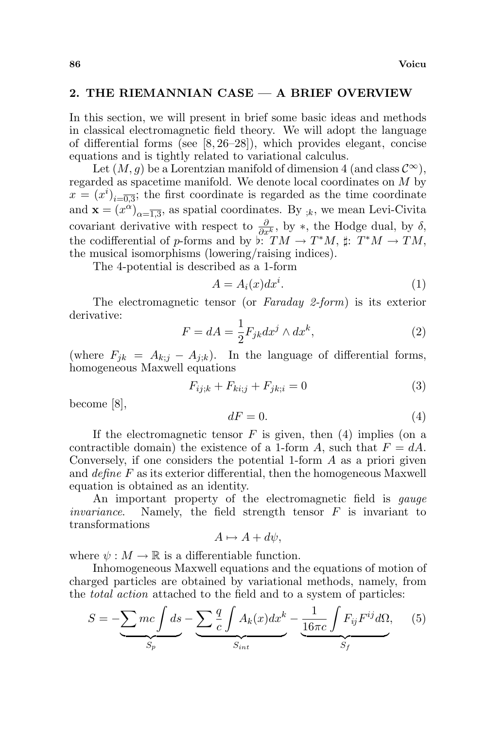## 2. THE RIEMANNIAN CASE — A BRIEF OVERVIEW

In this section, we will present in brief some basic ideas and methods in classical electromagnetic field theory. We will adopt the language of differential forms (see [8, 26–28]), which provides elegant, concise equations and is tightly related to variational calculus.

Let  $(M, g)$  be a Lorentzian manifold of dimension 4 (and class  $\mathcal{C}^{\infty}$ ), regarded as spacetime manifold. We denote local coordinates on M by  $x = (x^i)_{i=\overline{0,3}}$ ; the first coordinate is regarded as the time coordinate and  $\mathbf{x} = (x^{\alpha})_{\alpha = \overline{1,3}}$ , as spatial coordinates. By  $_{;k}$ , we mean Levi-Civita covariant derivative with respect to  $\frac{\partial}{\partial x^k}$ , by \*, the Hodge dual, by  $\delta$ , the codifferential of p-forms and by  $\stackrel{\circ}{\flat}: TM \to T^*M$ ,  $\sharp: T^*M \to TM$ , the musical isomorphisms (lowering/raising indices).

The 4-potential is described as a 1-form

$$
A = A_i(x)dx^i.
$$
 (1)

The electromagnetic tensor (or Faraday 2-form) is its exterior derivative:

$$
F = dA = \frac{1}{2} F_{jk} dx^{j} \wedge dx^{k},
$$
\n(2)

(where  $F_{ik} = A_{k;i} - A_{i;k}$ ). In the language of differential forms, homogeneous Maxwell equations

$$
F_{ij;k} + F_{ki;j} + F_{jk;i} = 0
$$
\n<sup>(3)</sup>

become [8],

$$
dF = 0.\t\t(4)
$$

If the electromagnetic tensor  $F$  is given, then  $(4)$  implies (on a contractible domain) the existence of a 1-form A, such that  $F = dA$ . Conversely, if one considers the potential 1-form A as a priori given and define F as its exterior differential, then the homogeneous Maxwell equation is obtained as an identity.

An important property of the electromagnetic field is *gauge invariance*. Namely, the field strength tensor  $F$  is invariant to transformations

$$
A \mapsto A + d\psi,
$$

where  $\psi : M \to \mathbb{R}$  is a differentiable function.

Inhomogeneous Maxwell equations and the equations of motion of charged particles are obtained by variational methods, namely, from the *total action* attached to the field and to a system of particles:

$$
S = -\underbrace{\sum mc \int ds}_{S_p} - \underbrace{\sum \frac{q}{c} \int A_k(x) dx^k}_{S_{int}} - \underbrace{\frac{1}{16\pi c} \int F_{ij} F^{ij} d\Omega}_{S_f}, \quad (5)
$$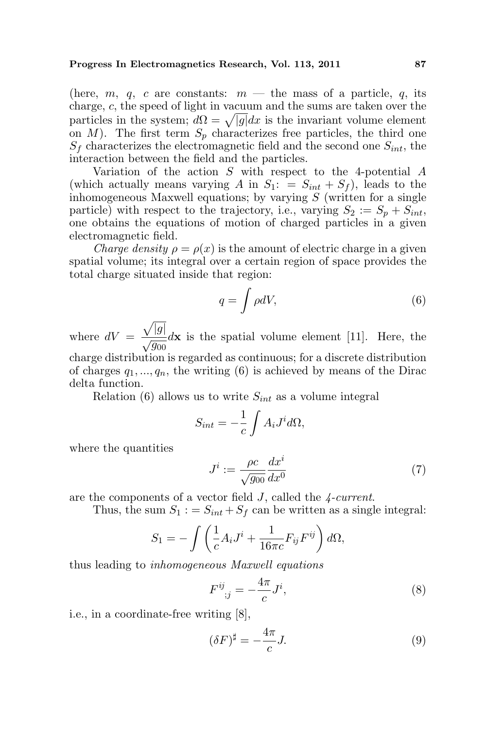(here, m, q, c are constants:  $m$  — the mass of a particle, q, its charge, c, the speed of light in vacuum and the sums are taken over the charge, c, the speed of light in vacuum and the sums are taken over the particles in the system;  $d\Omega = \sqrt{|g|} dx$  is the invariant volume element on  $M$ ). The first term  $S_p$  characterizes free particles, the third one  $S_f$  characterizes the electromagnetic field and the second one  $S_{int}$ , the interaction between the field and the particles.

Variation of the action S with respect to the 4-potential A (which actually means varying A in  $S_1$ : =  $S_{int} + S_f$ ), leads to the inhomogeneous Maxwell equations; by varying  $S$  (written for a single particle) with respect to the trajectory, i.e., varying  $S_2 := S_p + S_{int}$ , one obtains the equations of motion of charged particles in a given electromagnetic field.

*Charge density*  $\rho = \rho(x)$  is the amount of electric charge in a given spatial volume; its integral over a certain region of space provides the total charge situated inside that region:

$$
q = \int \rho dV,\tag{6}
$$

where  $dV =$ p  $|g|$  $\frac{\sqrt{3}}{\sqrt{g_{00}}}dx$  is the spatial volume element [11]. Here, the charge distribution is regarded as continuous; for a discrete distribution of charges  $q_1, ..., q_n$ , the writing (6) is achieved by means of the Dirac

Relation (6) allows us to write  $S_{int}$  as a volume integral

$$
S_{int} = -\frac{1}{c} \int A_i J^i d\Omega,
$$

where the quantities

delta function.

$$
J^i := \frac{\rho c}{\sqrt{g_{00}}} \frac{dx^i}{dx^0} \tag{7}
$$

are the components of a vector field J, called the 4-current.

Thus, the sum  $S_1 := S_{int} + S_f$  can be written as a single integral:

$$
S_1 = -\int \left(\frac{1}{c}A_iJ^i + \frac{1}{16\pi c}F_{ij}F^{ij}\right)d\Omega,
$$

thus leading to inhomogeneous Maxwell equations

$$
F^{ij}_{\;\;;j} = -\frac{4\pi}{c}J^i,\tag{8}
$$

i.e., in a coordinate-free writing [8],

$$
(\delta F)^{\sharp} = -\frac{4\pi}{c}J.\tag{9}
$$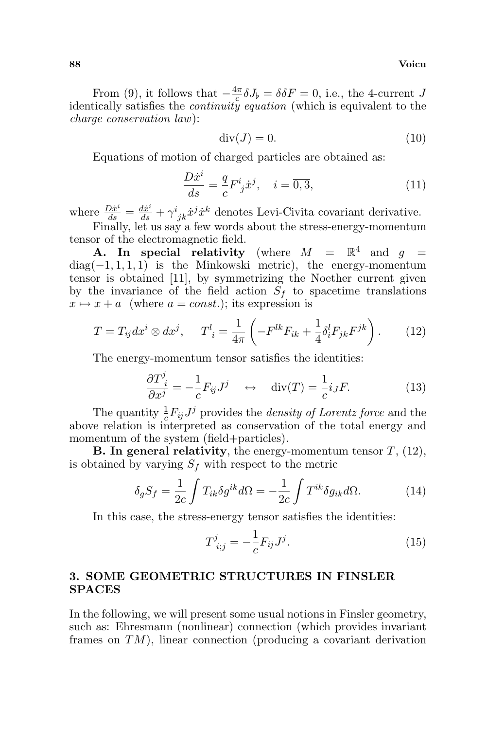From (9), it follows that  $-\frac{4\pi}{c}$  $\frac{d\pi}{c}\delta J_{\flat} = \delta \delta F = 0$ , i.e., the 4-current J identically satisfies the *continuity equation* (which is equivalent to the charge conservation law):

$$
\operatorname{div}(J) = 0.\tag{10}
$$

Equations of motion of charged particles are obtained as:

$$
\frac{D\dot{x}^i}{ds} = \frac{q}{c}F^i_j \dot{x}^j, \quad i = \overline{0,3},\tag{11}
$$

where  $\frac{D\dot{x}^i}{ds} = \frac{d\dot{x}^i}{ds} + \gamma^i_{jk}\dot{x}^j\dot{x}^k$  denotes Levi-Civita covariant derivative.

Finally, let us say a few words about the stress-energy-momentum tensor of the electromagnetic field.

**A.** In special relativity (where  $M = \mathbb{R}^4$  and  $g =$  $diag(-1, 1, 1, 1)$  is the Minkowski metric), the energy-momentum tensor is obtained [11], by symmetrizing the Noether current given by the invariance of the field action  $S_f$  to spacetime translations  $x \mapsto x + a$  (where  $a = const.$ ); its expression is

$$
T = T_{ij} dx^i \otimes dx^j, \qquad T^l_{\;i} = \frac{1}{4\pi} \left( -F^{lk} F_{ik} + \frac{1}{4} \delta^l_i F_{jk} F^{jk} \right). \tag{12}
$$

The energy-momentum tensor satisfies the identities:

$$
\frac{\partial T^j_i}{\partial x^j} = -\frac{1}{c} F_{ij} J^j \quad \leftrightarrow \quad \text{div}(T) = \frac{1}{c} i_J F. \tag{13}
$$

The quantity  $\frac{1}{c}F_{ij}J^j$  provides the *density of Lorentz force* and the above relation is interpreted as conservation of the total energy and momentum of the system (field+particles).

**B.** In general relativity, the energy-momentum tensor  $T$ , (12), is obtained by varying  $S_f$  with respect to the metric

$$
\delta_g S_f = \frac{1}{2c} \int T_{ik} \delta g^{ik} d\Omega = -\frac{1}{2c} \int T^{ik} \delta g_{ik} d\Omega.
$$
 (14)

In this case, the stress-energy tensor satisfies the identities:

$$
T_{i;j}^{j} = -\frac{1}{c} F_{ij} J^{j}.
$$
 (15)

## 3. SOME GEOMETRIC STRUCTURES IN FINSLER SPACES

In the following, we will present some usual notions in Finsler geometry, such as: Ehresmann (nonlinear) connection (which provides invariant frames on  $TM$ ), linear connection (producing a covariant derivation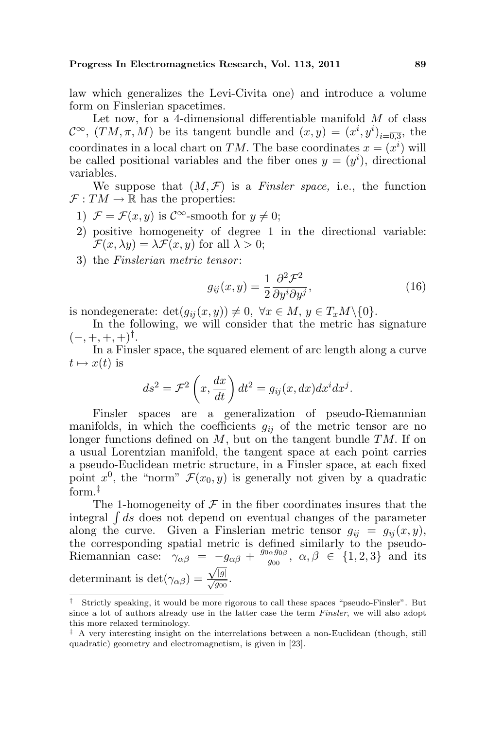law which generalizes the Levi-Civita one) and introduce a volume form on Finslerian spacetimes.

Let now, for a 4-dimensional differentiable manifold  $M$  of class  $\mathcal{C}^{\infty}$ ,  $(TM, \pi, M)$  be its tangent bundle and  $(x, y) = (x^{i}, y^{i})_{i=\overline{0,3}}$ , the coordinates in a local chart on TM. The base coordinates  $x = (x^i)$  will be called positional variables and the fiber ones  $y = (y<sup>i</sup>)$ , directional variables.

We suppose that  $(M, \mathcal{F})$  is a Finsler space, i.e., the function  $\mathcal{F}: TM \to \mathbb{R}$  has the properties:

- 1)  $\mathcal{F} = \mathcal{F}(x, y)$  is  $\mathcal{C}^{\infty}$ -smooth for  $y \neq 0$ ;
- 2) positive homogeneity of degree 1 in the directional variable:  $\mathcal{F}(x,\lambda y)=\lambda \mathcal{F}(x,y)$  for all  $\lambda > 0$ ;
- 3) the *Finslerian metric tensor*:

$$
g_{ij}(x,y) = \frac{1}{2} \frac{\partial^2 \mathcal{F}^2}{\partial y^i \partial y^j},\tag{16}
$$

is nondegenerate:  $\det(g_{ij}(x, y)) \neq 0, \ \forall x \in M, y \in T_xM \setminus \{0\}.$ 

In the following, we will consider that the metric has signature  $(-,+,+,+)^\dagger$ .

In a Finsler space, the squared element of arc length along a curve  $t \mapsto x(t)$  is  $\overline{a}$ 

$$
ds^{2} = \mathcal{F}^{2}\left(x, \frac{dx}{dt}\right)dt^{2} = g_{ij}(x, dx)dx^{i}dx^{j}.
$$

Finsler spaces are a generalization of pseudo-Riemannian manifolds, in which the coefficients  $g_{ij}$  of the metric tensor are no longer functions defined on  $M$ , but on the tangent bundle  $TM$ . If on a usual Lorentzian manifold, the tangent space at each point carries a pseudo-Euclidean metric structure, in a Finsler space, at each fixed point  $x^0$ , the "norm"  $\mathcal{F}(x_0, y)$  is generally not given by a quadratic form.‡

The 1-homogeneity of  $\mathcal F$  in the fiber coordinates insures that the The 1-homogeneity of  $\mathcal F$  in the fiber coordinates insures that the integral  $\int ds$  does not depend on eventual changes of the parameter along the curve. Given a Finslerian metric tensor  $g_{ii} = g_{ii}(x, y)$ , the corresponding spatial metric is defined similarly to the pseudo-Riemannian case:  $\gamma_{\alpha\beta} = -g_{\alpha\beta} + \frac{g_{0\alpha}g_{0\beta}}{g_{00}}$  $-g_{\alpha\beta} + \frac{g_{0\alpha}g_{0\beta}}{g_{00}}, \ \alpha, \beta \in \{1, 2, 3\}$  and its determinant is det $(\gamma_{\alpha\beta}) = \frac{\sqrt{|g|}}{\sqrt{g_{00}}}$ .

<sup>†</sup> Strictly speaking, it would be more rigorous to call these spaces "pseudo-Finsler". But since a lot of authors already use in the latter case the term Finsler, we will also adopt this more relaxed terminology.

 $\ddot{\text{ }}$  A very interesting insight on the interrelations between a non-Euclidean (though, still quadratic) geometry and electromagnetism, is given in [23].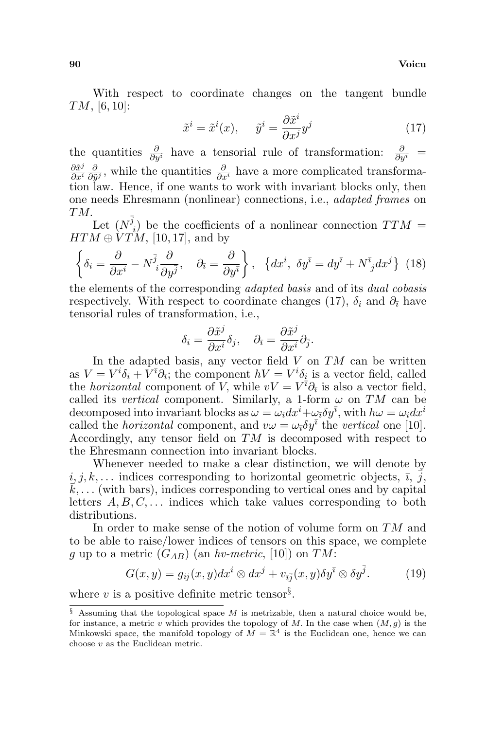With respect to coordinate changes on the tangent bundle TM, [6, 10]:

$$
\tilde{x}^i = \tilde{x}^i(x), \quad \tilde{y}^i = \frac{\partial \tilde{x}^i}{\partial x^j} y^j \tag{17}
$$

the quantities  $\frac{\partial}{\partial y^i}$  have a tensorial rule of transformation:  $\frac{\partial}{\partial y^i}$  =  $\partial \tilde{x}^j$  $\frac{\partial \tilde{x}^j}{\partial x^i} \frac{\partial}{\partial \tilde{y}}$  $\frac{\partial}{\partial \tilde{y}^j}$ , while the quantities  $\frac{\partial}{\partial x^i}$  have a more complicated transformation law. Hence, if one wants to work with invariant blocks only, then one needs Ehresmann (nonlinear) connections, i.e., adapted frames on TM.

Let  $(N^{\overline{j}})$  $I_i$ ) be the coefficients of a nonlinear connection  $TTM =$  $HTM \oplus VTM$ , [10, 17], and by ½  $\ddot{\phantom{0}}$ 

$$
\left\{\delta_i = \frac{\partial}{\partial x^i} - N^{\bar{j}}_i \frac{\partial}{\partial y^{\bar{j}}}, \quad \partial_{\bar{i}} = \frac{\partial}{\partial y^{\bar{i}}}\right\}, \quad \left\{dx^i, \ \delta y^{\bar{i}} = dy^{\bar{i}} + N^{\bar{i}}_j dx^j\right\} \tag{18}
$$

the elements of the corresponding adapted basis and of its dual cobasis respectively. With respect to coordinate changes (17),  $\delta_i$  and  $\partial_{\bar{i}}$  have tensorial rules of transformation, i.e.,

$$
\delta_i = \frac{\partial \tilde{x}^j}{\partial x^i} \delta_j, \quad \partial_{\bar{\imath}} = \frac{\partial \tilde{x}^j}{\partial x^i} \partial_{\bar{\jmath}}.
$$

In the adapted basis, any vector field  $V$  on  $TM$  can be written as  $V = V^i \delta_i + \overline{V}^{\overline{\imath}} \partial_{\overline{\imath}}$ ; the component  $hV = V^i \delta_i$  is a vector field, called the *horizontal* component of V, while  $vV = V^{\bar{i}} \partial_{\bar{i}}$  is also a vector field, called its vertical component. Similarly, a 1-form  $\omega$  on TM can be decomposed into invariant blocks as  $\omega = \omega_i dx^i + \omega_i \delta y^{\bar{i}}$ , with  $h\omega = \omega_i dx^i$ called the *horizontal* component, and  $v\omega = \omega_{\bar{i}} \delta y^{\bar{i}}$  the vertical one [10]. Accordingly, any tensor field on TM is decomposed with respect to the Ehresmann connection into invariant blocks.

Whenever needed to make a clear distinction, we will denote by  $i, j, k, \ldots$  indices corresponding to horizontal geometric objects,  $\overline{i}, j$ ,  $k, \ldots$  (with bars), indices corresponding to vertical ones and by capital letters  $A, B, C, \ldots$  indices which take values corresponding to both distributions.

In order to make sense of the notion of volume form on TM and to be able to raise/lower indices of tensors on this space, we complete g up to a metric  $(G_{AB})$  (an hv-metric, [10]) on TM:

$$
G(x,y) = g_{ij}(x,y)dx^{i} \otimes dx^{j} + v_{\bar{i}\bar{j}}(x,y)\delta y^{\bar{i}} \otimes \delta y^{\bar{j}}.
$$
 (19)

where  $v$  is a positive definite metric tensor<sup>§</sup>.

 $§$  Assuming that the topological space M is metrizable, then a natural choice would be, for instance, a metric v which provides the topology of M. In the case when  $(M, g)$  is the Minkowski space, the manifold topology of  $M = \mathbb{R}^4$  is the Euclidean one, hence we can choose  $v$  as the Euclidean metric.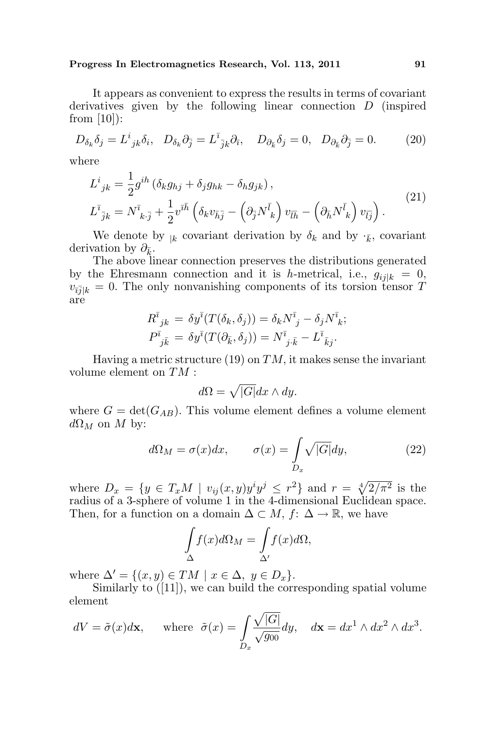It appears as convenient to express the results in terms of covariant derivatives given by the following linear connection D (inspired from  $[10]$ :

$$
D_{\delta_k} \delta_j = L^i_{\;jk} \delta_i, \quad D_{\delta_k} \partial_{\bar{j}} = L^{\bar{i}}_{\;jk} \partial_{\bar{i}}, \quad D_{\partial_{\bar{k}}} \delta_j = 0, \quad D_{\partial_{\bar{k}}} \partial_{\bar{j}} = 0. \tag{20}
$$

where

$$
L^{i}_{jk} = \frac{1}{2} g^{ih} \left( \delta_{k} g_{hj} + \delta_{j} g_{hk} - \delta_{h} g_{jk} \right),
$$
  
\n
$$
L^{\bar{i}}_{\ \bar{j}k} = N^{\bar{i}}_{\ k \cdot \bar{j}} + \frac{1}{2} v^{\bar{i}\bar{h}} \left( \delta_{k} v_{\bar{h}\bar{j}} - \left( \partial_{\bar{j}} N^{\bar{i}}_{\ k} \right) v_{\bar{l}\bar{h}} - \left( \partial_{\bar{h}} N^{\bar{i}}_{\ k} \right) v_{\bar{l}\bar{j}} \right).
$$
\n(21)

We denote by  $_{k}$  covariant derivation by  $\delta_{k}$  and by  $\cdot_{\bar{k}}$ , covariant derivation by  $\partial_{\bar{k}}$ .

The above linear connection preserves the distributions generated by the Ehresmann connection and it is h-metrical, i.e.,  $g_{i,j|k} = 0$ ,  $v_{\bar{i}}=0$ . The only nonvanishing components of its torsion tensor T are

$$
R^{\bar{i}}{}_{jk} = \delta y^{\bar{i}} (T(\delta_k, \delta_j)) = \delta_k N^{\bar{i}}{}_j - \delta_j N^{\bar{i}}{}_k; P^{\bar{i}}{}_{j\bar{k}} = \delta y^{\bar{i}} (T(\partial_{\bar{k}}, \delta_j)) = N^{\bar{i}}{}_{j\bar{k}} - L^{\bar{i}}{}_{\bar{k}j}.
$$

Having a metric structure (19) on  $TM$ , it makes sense the invariant volume element on TM :

$$
d\Omega = \sqrt{|G|} dx \wedge dy.
$$

where  $G = det(G_{AB})$ . This volume element defines a volume element  $d\Omega_M$  on M by:

$$
d\Omega_M = \sigma(x)dx, \qquad \sigma(x) = \int_{D_x} \sqrt{|G|} dy, \tag{22}
$$

where  $D_x = \{y \in T_x M \mid v_{ij}(x, y)y^i y^j \leq r^2\}$  and  $r = \sqrt[4]{2/\pi^2}$  is the radius of a 3-sphere of volume 1 in the 4-dimensional Euclidean space. Then, for a function on a domain  $\Delta \subset M$ ,  $f: \Delta \to \mathbb{R}$ , we have

$$
\int_{\Delta} f(x)d\Omega_M = \int_{\Delta'} f(x)d\Omega,
$$

where  $\Delta' = \{(x, y) \in TM \mid x \in \Delta, y \in D_x\}.$ 

Similarly to ([11]), we can build the corresponding spatial volume element p

$$
dV = \tilde{\sigma}(x)d\mathbf{x}, \quad \text{where } \tilde{\sigma}(x) = \int_{D_x} \frac{\sqrt{|G|}}{\sqrt{g_{00}}} dy, \quad d\mathbf{x} = dx^1 \wedge dx^2 \wedge dx^3.
$$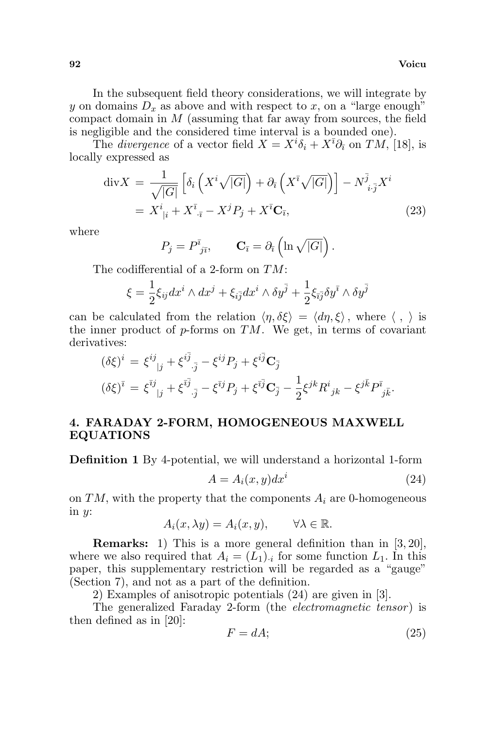In the subsequent field theory considerations, we will integrate by y on domains  $D_x$  as above and with respect to x, on a "large enough" compact domain in M (assuming that far away from sources, the field is negligible and the considered time interval is a bounded one).

The *divergence* of a vector field  $X = X^i \delta_i + X^{\bar{\imath}} \partial_{\bar{\imath}}$  on  $TM$ , [18], is locally expressed as

$$
\operatorname{div} X = \frac{1}{\sqrt{|G|}} \left[ \delta_i \left( X^i \sqrt{|G|} \right) + \partial_{\bar{\imath}} \left( X^{\bar{\imath}} \sqrt{|G|} \right) \right] - N^{\bar{j}}_{i \cdot \bar{j}} X^i
$$
  
=  $X^i_{\;|i} + X^{\bar{\imath}}_{\; \cdot \bar{\imath}} - X^j P_j + X^{\bar{\imath}} \mathbf{C}_{\bar{\imath}},$  (23)

where

$$
P_j = P^{\bar{i}}_{j\bar{i}}, \qquad \mathbf{C}_{\bar{i}} = \partial_{\bar{i}} \left( \ln \sqrt{|G|} \right).
$$

The codifferential of a 2-form on TM:

$$
\xi=\frac{1}{2}\xi_{ij}dx^i\wedge dx^j+\xi_{i\bar{j}}dx^i\wedge \delta y^{\bar{j}}+\frac{1}{2}\xi_{\bar{\imath}\bar{j}}\delta y^{\bar{\imath}}\wedge \delta y^{\bar{j}}
$$

can be calculated from the relation  $\langle \eta, \delta \xi \rangle = \langle d\eta, \xi \rangle$ , where  $\langle , \rangle$  is the inner product of  $p$ -forms on  $TM$ . We get, in terms of covariant derivatives:

$$
(\delta \xi)^{i} = \xi^{ij}_{\ \ |j} + \xi^{i\bar{j}}_{\ \bar{j}} - \xi^{ij} P_{j} + \xi^{i\bar{j}} C_{\bar{j}}
$$

$$
(\delta \xi)^{\bar{i}} = \xi^{\bar{i}j}_{\ \ |j} + \xi^{\bar{i}\bar{j}}_{\ \bar{j}} - \xi^{\bar{i}j} P_{j} + \xi^{\bar{i}\bar{j}} C_{\bar{j}} - \frac{1}{2} \xi^{jk} R^{i}_{\ \ jk} - \xi^{j\bar{k}} P^{\bar{i}}_{\ \bar{j}\bar{k}}.
$$

# 4. FARADAY 2-FORM, HOMOGENEOUS MAXWELL EQUATIONS

Definition 1 By 4-potential, we will understand a horizontal 1-form

$$
A = A_i(x, y)dx^i \tag{24}
$$

on  $TM$ , with the property that the components  $A_i$  are 0-homogeneous in  $y$ :

$$
A_i(x, \lambda y) = A_i(x, y), \qquad \forall \lambda \in \mathbb{R}.
$$

Remarks: 1) This is a more general definition than in [3, 20], where we also required that  $A_i = (L_1)_{i}$  for some function  $L_1$ . In this paper, this supplementary restriction will be regarded as a "gauge" (Section 7), and not as a part of the definition.

2) Examples of anisotropic potentials (24) are given in [3].

The generalized Faraday 2-form (the *electromagnetic tensor*) is then defined as in [20]:

$$
F = dA; \t\t(25)
$$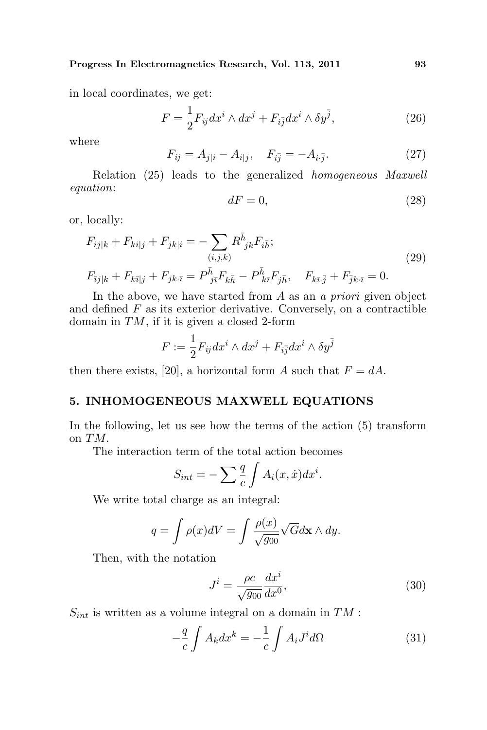in local coordinates, we get:

$$
F = \frac{1}{2} F_{ij} dx^i \wedge dx^j + F_{i\bar{j}} dx^i \wedge \delta y^{\bar{j}}, \qquad (26)
$$

where

$$
F_{ij} = A_{j|i} - A_{i|j}, \quad F_{i\bar{j}} = -A_{i\cdot\bar{j}}.
$$
 (27)

Relation (25) leads to the generalized homogeneous Maxwell equation:

$$
dF = 0,\t\t(28)
$$

or, locally:

$$
F_{ij|k} + F_{ki|j} + F_{jk|i} = -\sum_{(i,j,k)} R^{\bar{h}}_{jk} F_{i\bar{h}};
$$
  

$$
F_{\bar{i}j|k} + F_{k\bar{i}|j} + F_{jk\bar{i}} = P^{\bar{h}}_{j\bar{i}} F_{k\bar{h}} - P^{\bar{h}}_{k\bar{i}} F_{j\bar{h}}, \quad F_{k\bar{i}\bar{j}} + F_{\bar{j}k\bar{i}} = 0.
$$
 (29)

In the above, we have started from A as an a priori given object and defined  $F$  as its exterior derivative. Conversely, on a contractible domain in  $TM$ , if it is given a closed 2-form

$$
F:=\frac{1}{2}F_{ij}dx^i\wedge dx^j+F_{i\bar{j}}dx^i\wedge \delta y^{\bar{j}}
$$

then there exists, [20], a horizontal form A such that  $F = dA$ .

## 5. INHOMOGENEOUS MAXWELL EQUATIONS

In the following, let us see how the terms of the action (5) transform on TM.

The interaction term of the total action becomes

$$
S_{int} = -\sum \frac{q}{c} \int A_i(x, \dot{x}) dx^i.
$$

We write total charge as an integral:

$$
q = \int \rho(x)dV = \int \frac{\rho(x)}{\sqrt{g_{00}}}\sqrt{G}d\mathbf{x} \wedge dy.
$$

Then, with the notation

$$
J^i = \frac{\rho c}{\sqrt{g_{00}}} \frac{dx^i}{dx^0},\tag{30}
$$

 $S_{int}$  is written as a volume integral on a domain in TM :

$$
-\frac{q}{c}\int A_k dx^k = -\frac{1}{c}\int A_i J^i d\Omega \tag{31}
$$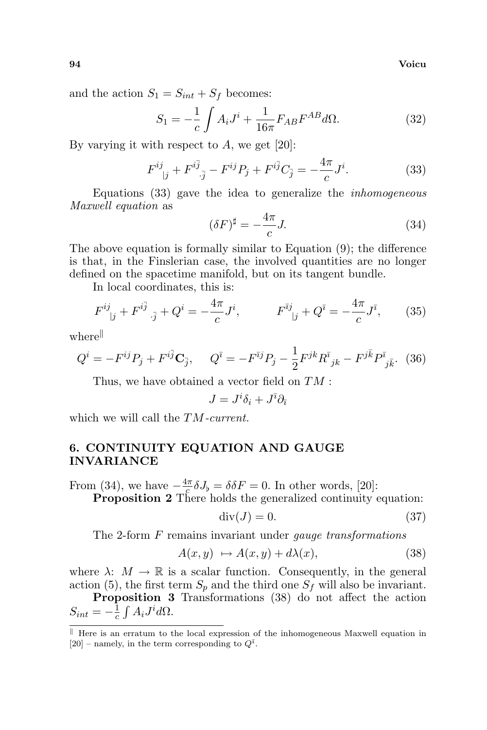94 Voicu

and the action  $S_1 = S_{int} + S_f$  becomes:

$$
S_1 = -\frac{1}{c} \int A_i J^i + \frac{1}{16\pi} F_{AB} F^{AB} d\Omega.
$$
 (32)

By varying it with respect to  $A$ , we get [20]:

$$
F^{ij}_{\ \ |j} + F^{i\bar{j}}_{\ \ \bar{j}} - F^{ij}P_j + F^{i\bar{j}}C_{\bar{j}} = -\frac{4\pi}{c}J^i. \tag{33}
$$

Equations (33) gave the idea to generalize the inhomogeneous Maxwell equation as

$$
(\delta F)^{\sharp} = -\frac{4\pi}{c}J. \tag{34}
$$

The above equation is formally similar to Equation (9); the difference is that, in the Finslerian case, the involved quantities are no longer defined on the spacetime manifold, but on its tangent bundle.

In local coordinates, this is:

$$
F^{ij}_{\ \ |j} + F^{i\bar{j}}_{\ \ \bar{j}} + Q^i = -\frac{4\pi}{c}J^i, \qquad F^{\bar{\imath}j}_{\ \ |j} + Q^{\bar{\imath}} = -\frac{4\pi}{c}J^{\bar{\imath}}, \qquad (35)
$$

 $where$ 

$$
Q^{i} = -F^{ij}P_{j} + F^{i\bar{j}}\mathbf{C}_{\bar{j}}, \quad Q^{\bar{i}} = -F^{\bar{i}j}P_{j} - \frac{1}{2}F^{jk}R^{\bar{i}}{}_{jk} - F^{j\bar{k}}P^{\bar{i}}{}_{j\bar{k}}.
$$
 (36)

Thus, we have obtained a vector field on TM :

$$
J=J^i\delta_i+J^{\bar{\imath}}\partial_{\bar{\imath}}
$$

which we will call the  $TM$ -current.

# 6. CONTINUITY EQUATION AND GAUGE INVARIANCE

From (34), we have  $-\frac{4\pi}{c}$  $\frac{\pi}{c} \delta J_{\flat} = \delta \delta F = 0$ . In other words, [20]:

Proposition 2 There holds the generalized continuity equation:

$$
\operatorname{div}(J) = 0. \tag{37}
$$

The 2-form F remains invariant under *gauge transformations* 

$$
A(x, y) \mapsto A(x, y) + d\lambda(x), \tag{38}
$$

where  $\lambda: M \to \mathbb{R}$  is a scalar function. Consequently, in the general action (5), the first term  $S_p$  and the third one  $S_f$  will also be invariant.

**Proposition 3** Transformations  $(38)$  do not affect the action  $S_{int} = -\frac{1}{c}$  $\frac{1}{c}\int A_i J^i d\Omega.$ 

 $\parallel$  Here is an erratum to the local expression of the inhomogeneous Maxwell equation in [20] – namely, in the term corresponding to  $Q^{\bar{i}}$ .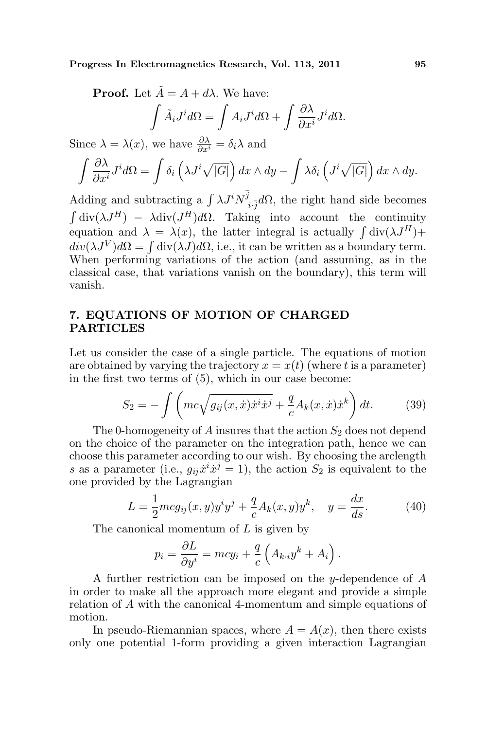**Proof.** Let 
$$
\tilde{A} = A + d\lambda
$$
. We have:  
\n
$$
\int \tilde{A}_i J^i d\Omega = \int A_i J^i d\Omega + \int \frac{\partial \lambda}{\partial x^i} J^i d\Omega.
$$

Since 
$$
\lambda = \lambda(x)
$$
, we have  $\frac{\partial \lambda}{\partial x^i} = \delta_i \lambda$  and  
\n
$$
\int \frac{\partial \lambda}{\partial x^i} J^i d\Omega = \int \delta_i \left( \lambda J^i \sqrt{|G|} \right) dx \wedge dy - \int \lambda \delta_i \left( J^i \sqrt{|G|} \right) dx \wedge dy.
$$

Adding and subtracting a  $\int \lambda J^i N^{\bar{j}}$ Adding and subtracting a  $\int \lambda J^i N^j_{i,j} d\Omega$ , the right hand side becomes  $\text{div}(\lambda J^H) - \lambda \text{div}(J^H) d\Omega$ . Taking into account the continuity  $\int \text{div}(\lambda J^{2}) = \lambda \text{div}(J^{2}) d\lambda$ . Taking mio account the continuity<br>equation and  $\lambda = \lambda(x)$ , the latter integral is actually  $\int \text{div}(\lambda J^{H}) +$ equation and  $\lambda = \lambda(x)$ , the latter integral is actually  $\int d\nu(\lambda J) d\Omega = \int d\nu(\lambda J) d\Omega$ , i.e., it can be written as a boundary term. When performing variations of the action (and assuming, as in the classical case, that variations vanish on the boundary), this term will vanish.

# 7. EQUATIONS OF MOTION OF CHARGED PARTICLES

Let us consider the case of a single particle. The equations of motion are obtained by varying the trajectory  $x = x(t)$  (where t is a parameter) in the first two terms of (5), which in our case become:

$$
S_2 = -\int \left( mc\sqrt{g_{ij}(x,\dot{x})\dot{x}^i \dot{x}^j} + \frac{q}{c} A_k(x,\dot{x})\dot{x}^k \right) dt. \tag{39}
$$

The 0-homogeneity of A insures that the action  $S_2$  does not depend on the choice of the parameter on the integration path, hence we can choose this parameter according to our wish. By choosing the arclength s as a parameter (i.e.,  $g_{ij}\dot{x}^i\dot{x}^j = 1$ ), the action  $S_2$  is equivalent to the one provided by the Lagrangian

$$
L = \frac{1}{2}mcg_{ij}(x, y)y^{i}y^{j} + \frac{q}{c}A_{k}(x, y)y^{k}, \quad y = \frac{dx}{ds}.
$$
 (40)

The canonical momentum of L is given by

 $\sim$ 

$$
p_i = \frac{\partial L}{\partial y^i} = mcy_i + \frac{q}{c} \left( A_{k \cdot i} y^k + A_i \right).
$$

A further restriction can be imposed on the y-dependence of A in order to make all the approach more elegant and provide a simple relation of A with the canonical 4-momentum and simple equations of motion.

In pseudo-Riemannian spaces, where  $A = A(x)$ , then there exists only one potential 1-form providing a given interaction Lagrangian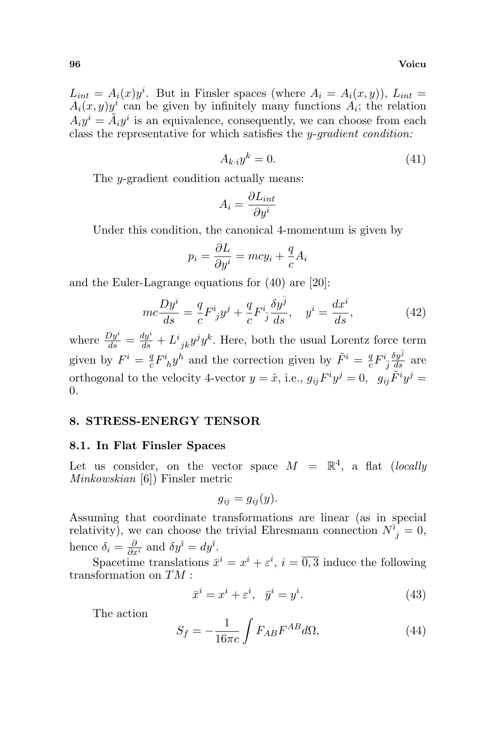$L_{int} = A_i(x)y^i$ . But in Finsler spaces (where  $A_i = A_i(x, y)$ ),  $L_{int} =$  $A_i(x, y)y^i$  can be given by infinitely many functions  $A_i$ ; the relation  $A_i y^i = \tilde{A}_i y^i$  is an equivalence, consequently, we can choose from each class the representative for which satisfies the y-gradient condition:

$$
A_{k \cdot i} y^k = 0. \tag{41}
$$

The y-gradient condition actually means:

$$
A_i = \frac{\partial L_{int}}{\partial y^i}
$$

Under this condition, the canonical 4-momentum is given by

$$
p_i = \frac{\partial L}{\partial y^i} = mcy_i + \frac{q}{c}A_i
$$

and the Euler-Lagrange equations for (40) are [20]:

$$
mc\frac{Dy^i}{ds} = \frac{q}{c}F^i_jy^j + \frac{q}{c}F^i_j\frac{\delta y^{\bar{j}}}{ds}, \quad y^i = \frac{dx^i}{ds},\tag{42}
$$

where  $\frac{Dy^i}{ds} = \frac{dy^i}{ds} + L^i_{jk}y^jy^k$ . Here, both the usual Lorentz force term given by  $F^i = \frac{q}{q}$  $\frac{q}{c}F^i_{\phantom{i}h}y^h$  and the correction given by  $\tilde{F}^i = \frac{q}{c}$  $\frac{q}{c}F^i_{\phantom{i}\bar{j}}$  $\frac{\delta y^{\bar j}}{ds}$  are orthogonal to the velocity 4-vector  $y = \dot{x}$ , i.e.,  $g_{ij}F^i y^j = 0$ ,  $g_{ij} \tilde{F}^i y^j = 0$ 0.

#### 8. STRESS-ENERGY TENSOR

#### 8.1. In Flat Finsler Spaces

Let us consider, on the vector space  $M = \mathbb{R}^4$ , a flat (locally Minkowskian [6]) Finsler metric

$$
g_{ij} = g_{ij}(y).
$$

Assuming that coordinate transformations are linear (as in special relativity), we can choose the trivial Ehresmann connection  $N_{j}^{\bar{i}} = 0$ , hence  $\delta_i = \frac{\partial}{\partial x^i}$  and  $\delta y^{\bar{i}} = dy^{\bar{i}}$ .

Spacetime translations  $\bar{x}^i = x^i + \varepsilon^i$ ,  $i = \overline{0,3}$  induce the following transformation on TM :

$$
\bar{x}^i = x^i + \varepsilon^i, \quad \bar{y}^i = y^i. \tag{43}
$$

The action

$$
S_f = -\frac{1}{16\pi c} \int F_{AB} F^{AB} d\Omega,\tag{44}
$$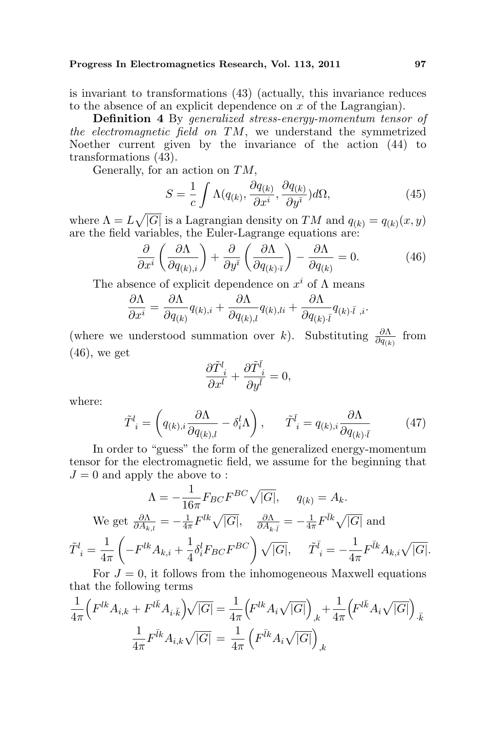is invariant to transformations (43) (actually, this invariance reduces to the absence of an explicit dependence on  $x$  of the Lagrangian).

Definition 4 By generalized stress-energy-momentum tensor of the electromagnetic field on  $TM$ , we understand the symmetrized Noether current given by the invariance of the action (44) to transformations (43).

Generally, for an action on  $TM$ ,

$$
S = \frac{1}{c} \int \Lambda(q_{(k)}, \frac{\partial q_{(k)}}{\partial x^i}, \frac{\partial q_{(k)}}{\partial y^i}) d\Omega, \tag{45}
$$

where  $\Lambda = L$ p |G| is a Lagrangian density on TM and  $q_{(k)} = q_{(k)}(x, y)$ are the field variables, the Euler-Lagrange equations are:

values, the Later Lagrange equations are:  
\n
$$
\frac{\partial}{\partial x^{i}} \left( \frac{\partial \Lambda}{\partial q_{(k),i}} \right) + \frac{\partial}{\partial y^{i}} \left( \frac{\partial \Lambda}{\partial q_{(k),i}} \right) - \frac{\partial \Lambda}{\partial q_{(k)}} = 0.
$$
\n(46)

The absence of explicit dependence on  $x^i$  of  $\Lambda$  means

$$
\frac{\partial \Lambda}{\partial x^i} = \frac{\partial \Lambda}{\partial q_{(k)}} q_{(k),i} + \frac{\partial \Lambda}{\partial q_{(k),l}} q_{(k),li} + \frac{\partial \Lambda}{\partial q_{(k),l}} q_{(k)\cdot\bar{l},i}.
$$

(where we understood summation over k). Substituting  $\frac{\partial \Lambda}{\partial q_{(k)}}$  from  $(46)$ , we get

$$
\frac{\partial \tilde{T}^l_{~i}}{\partial x^l}+\frac{\partial \tilde{T}^{\bar{l}}_{~i}}{\partial y^{\bar{l}}}=0,
$$

where:

$$
\tilde{T}^l_i = \left(q_{(k),i} \frac{\partial \Lambda}{\partial q_{(k),l}} - \delta^l_i \Lambda\right), \qquad \tilde{T}^{\bar{l}}_i = q_{(k),i} \frac{\partial \Lambda}{\partial q_{(k)} \bar{\iota}} \tag{47}
$$

In order to "guess" the form of the generalized energy-momentum tensor for the electromagnetic field, we assume for the beginning that  $J = 0$  and apply the above to:

$$
\Lambda = -\frac{1}{16\pi} F_{BC} F^{BC} \sqrt{|G|}, \quad q_{(k)} = A_k.
$$
  
We get  $\frac{\partial \Lambda}{\partial A_{k,l}} = -\frac{1}{4\pi} F^{lk} \sqrt{|G|}, \quad \frac{\partial \Lambda}{\partial A_{k.\bar{l}}} = -\frac{1}{4\pi} F^{\bar{l}k} \sqrt{|G|}$  and  

$$
\tilde{T}^l_i = \frac{1}{4\pi} \left( -F^{lk} A_{k,i} + \frac{1}{4} \delta^l_i F_{BC} F^{BC} \right) \sqrt{|G|}, \quad \tilde{T}^{\bar{l}}_i = -\frac{1}{4\pi} F^{\bar{l}k} A_{k,i} \sqrt{|G|}.
$$

For  $J = 0$ , it follows from the inhomogeneous Maxwell equations that the following terms

$$
\frac{1}{4\pi} \Big( F^{lk} A_{i,k} + F^{l\bar{k}} A_{i,\bar{k}} \Big) \sqrt{|G|} = \frac{1}{4\pi} \Big( F^{lk} A_i \sqrt{|G|} \Big)_{,k} + \frac{1}{4\pi} \Big( F^{l\bar{k}} A_i \sqrt{|G|} \Big)_{,\bar{k}} \frac{1}{4\pi} F^{\bar{l}k} A_{i,k} \sqrt{|G|} = \frac{1}{4\pi} \Big( F^{\bar{l}k} A_i \sqrt{|G|} \Big)_{,k}
$$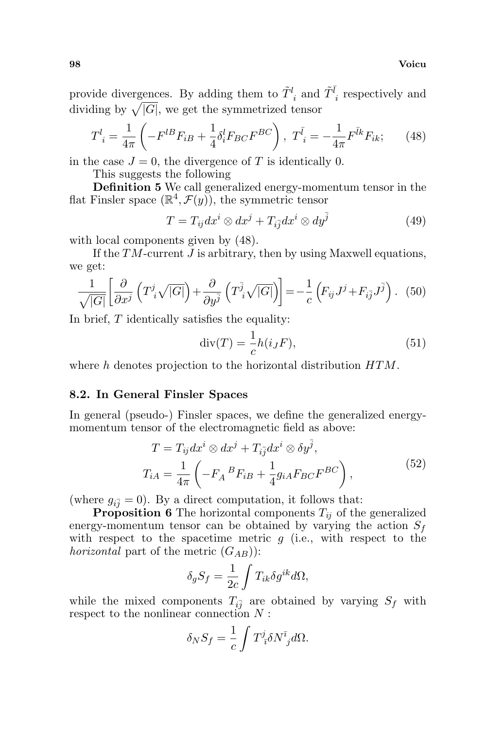98 Voicu

provide divergences. By adding them to  $\tilde{T}^l_{\ i}$  and  $\tilde{T}^{\bar{l}}_{\ i}$  respectively and provide divergences. By adding them to  $T_i$  and<br>dividing by  $\sqrt{|G|}$ , we get the symmetrized tensor

$$
T^{l}_{\;i} = \frac{1}{4\pi} \left( -F^{lB}F_{iB} + \frac{1}{4}\delta^{l}_{i}F_{BC}F^{BC} \right), \; T^{\bar{l}}_{\;i} = -\frac{1}{4\pi}F^{\bar{l}k}F_{ik};\qquad(48)
$$

in the case  $J = 0$ , the divergence of T is identically 0.

This suggests the following

Definition 5 We call generalized energy-momentum tensor in the flat Finsler space  $(\mathbb{R}^4, \mathcal{F}(y))$ , the symmetric tensor

$$
T = T_{ij} dx^{i} \otimes dx^{j} + T_{i\bar{j}} dx^{i} \otimes dy^{\bar{j}}
$$
 (49)

with local components given by  $(48)$ .

If the  $TM$ -current  $J$  is arbitrary, then by using Maxwell equations, we get:

$$
\frac{1}{\sqrt{|G|}} \left[ \frac{\partial}{\partial x^j} \left( T^j_i \sqrt{|G|} \right) + \frac{\partial}{\partial y^j} \left( T^{\bar{j}}_i \sqrt{|G|} \right) \right] = -\frac{1}{c} \left( F_{ij} J^j + F_{i\bar{j}} J^{\bar{j}} \right). \tag{50}
$$

In brief, T identically satisfies the equality:

$$
\operatorname{div}(T) = -\frac{1}{c}h(i_J F),\tag{51}
$$

where h denotes projection to the horizontal distribution  $HTM$ .

#### 8.2. In General Finsler Spaces

In general (pseudo-) Finsler spaces, we define the generalized energymomentum tensor of the electromagnetic field as above:

$$
T = T_{ij} dx^{i} \otimes dx^{j} + T_{i\overline{j}} dx^{i} \otimes \delta y^{\overline{j}},
$$
  
\n
$$
T_{iA} = \frac{1}{4\pi} \left( -F_{A}{}^{B}F_{iB} + \frac{1}{4} g_{iA} F_{BC} F^{BC} \right),
$$
\n(52)

(where  $g_{i\bar{j}} = 0$ ). By a direct computation, it follows that:

**Proposition 6** The horizontal components  $T_{ij}$  of the generalized energy-momentum tensor can be obtained by varying the action  $S_f$ with respect to the spacetime metric  $g$  (i.e., with respect to the *horizontal* part of the metric  $(G_{AB})$ :

$$
\delta_g S_f = \frac{1}{2c} \int T_{ik} \delta g^{ik} d\Omega,
$$

while the mixed components  $T_{i\bar{j}}$  are obtained by varying  $S_f$  with respect to the nonlinear connection  $N$ :

$$
\delta_N S_f = \frac{1}{c} \int T^j_{\ \bar{\imath}} \delta N^{\bar{\imath}}_{\ j} d\Omega.
$$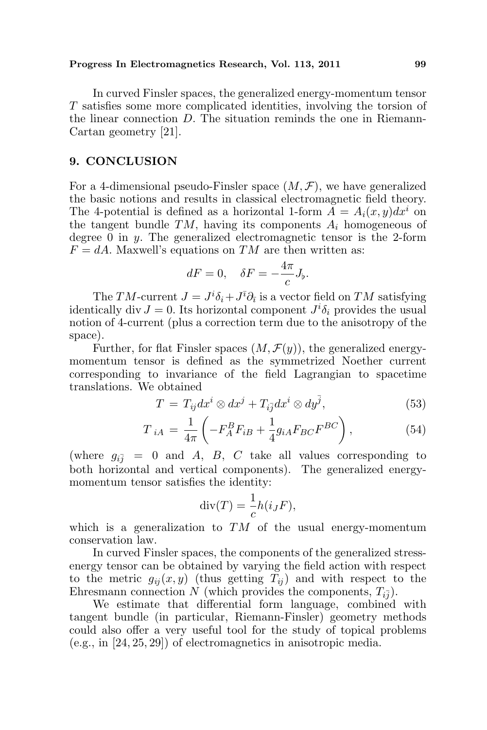In curved Finsler spaces, the generalized energy-momentum tensor T satisfies some more complicated identities, involving the torsion of the linear connection  $D$ . The situation reminds the one in Riemann-Cartan geometry [21].

### 9. CONCLUSION

For a 4-dimensional pseudo-Finsler space  $(M, \mathcal{F})$ , we have generalized the basic notions and results in classical electromagnetic field theory. The 4-potential is defined as a horizontal 1-form  $A = A_i(x, y)dx^i$  on the tangent bundle  $TM$ , having its components  $A_i$  homogeneous of degree 0 in  $y$ . The generalized electromagnetic tensor is the 2-form  $F = dA$ . Maxwell's equations on TM are then written as:

$$
dF = 0, \quad \delta F = -\frac{4\pi}{c}J_{\flat}.
$$

The TM-current  $J = J^i \delta_i + J^{\bar{\imath}} \partial_{\bar{\imath}}$  is a vector field on TM satisfying identically div  $J = 0$ . Its horizontal component  $J^{i}\delta_{i}$  provides the usual notion of 4-current (plus a correction term due to the anisotropy of the space).

Further, for flat Finsler spaces  $(M, \mathcal{F}(y))$ , the generalized energymomentum tensor is defined as the symmetrized Noether current corresponding to invariance of the field Lagrangian to spacetime translations. We obtained

$$
T = T_{ij} dx^{i} \otimes dx^{j} + T_{i\overline{j}} dx^{i} \otimes dy^{\overline{j}}, \qquad (53)
$$

$$
T_{iA} = \frac{1}{4\pi} \left( -F_A^B F_{iB} + \frac{1}{4} g_{iA} F_{BC} F^{BC} \right),
$$
 (54)

(where  $g_{i\bar{j}} = 0$  and A, B, C take all values corresponding to both horizontal and vertical components). The generalized energymomentum tensor satisfies the identity:

$$
\operatorname{div}(T) = \frac{1}{c}h(i_JF),
$$

which is a generalization to  $TM$  of the usual energy-momentum conservation law.

In curved Finsler spaces, the components of the generalized stressenergy tensor can be obtained by varying the field action with respect to the metric  $g_{ij}(x, y)$  (thus getting  $T_{ij}$ ) and with respect to the Ehresmann connection N (which provides the components,  $T_{i,j}$ ).

We estimate that differential form language, combined with tangent bundle (in particular, Riemann-Finsler) geometry methods could also offer a very useful tool for the study of topical problems (e.g., in [24, 25, 29]) of electromagnetics in anisotropic media.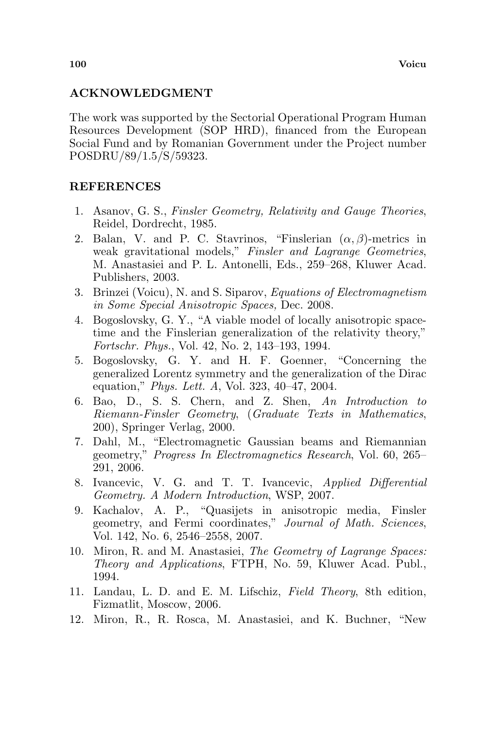## ACKNOWLEDGMENT

The work was supported by the Sectorial Operational Program Human Resources Development (SOP HRD), financed from the European Social Fund and by Romanian Government under the Project number POSDRU/89/1.5/S/59323.

## **REFERENCES**

- 1. Asanov, G. S., Finsler Geometry, Relativity and Gauge Theories, Reidel, Dordrecht, 1985.
- 2. Balan, V. and P. C. Stavrinos, "Finslerian  $(\alpha, \beta)$ -metrics in weak gravitational models," Finsler and Lagrange Geometries, M. Anastasiei and P. L. Antonelli, Eds., 259–268, Kluwer Acad. Publishers, 2003.
- 3. Brinzei (Voicu), N. and S. Siparov, Equations of Electromagnetism in Some Special Anisotropic Spaces, Dec. 2008.
- 4. Bogoslovsky, G. Y., "A viable model of locally anisotropic spacetime and the Finslerian generalization of the relativity theory," Fortschr. Phys., Vol. 42, No. 2, 143–193, 1994.
- 5. Bogoslovsky, G. Y. and H. F. Goenner, "Concerning the generalized Lorentz symmetry and the generalization of the Dirac equation," Phys. Lett. A, Vol. 323, 40–47, 2004.
- 6. Bao, D., S. S. Chern, and Z. Shen, An Introduction to Riemann-Finsler Geometry, (Graduate Texts in Mathematics, 200), Springer Verlag, 2000.
- 7. Dahl, M., "Electromagnetic Gaussian beams and Riemannian geometry," Progress In Electromagnetics Research, Vol. 60, 265– 291, 2006.
- 8. Ivancevic, V. G. and T. T. Ivancevic, Applied Differential Geometry. A Modern Introduction, WSP, 2007.
- 9. Kachalov, A. P., "Quasijets in anisotropic media, Finsler geometry, and Fermi coordinates," Journal of Math. Sciences, Vol. 142, No. 6, 2546–2558, 2007.
- 10. Miron, R. and M. Anastasiei, The Geometry of Lagrange Spaces: Theory and Applications, FTPH, No. 59, Kluwer Acad. Publ., 1994.
- 11. Landau, L. D. and E. M. Lifschiz, Field Theory, 8th edition, Fizmatlit, Moscow, 2006.
- 12. Miron, R., R. Rosca, M. Anastasiei, and K. Buchner, "New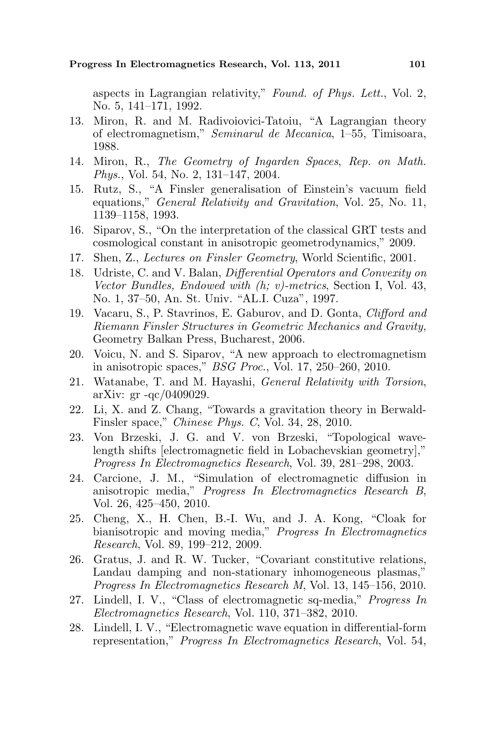aspects in Lagrangian relativity," Found. of Phys. Lett., Vol. 2, No. 5, 141–171, 1992.

- 13. Miron, R. and M. Radivoiovici-Tatoiu, "A Lagrangian theory of electromagnetism," Seminarul de Mecanica, 1–55, Timisoara, 1988.
- 14. Miron, R., The Geometry of Ingarden Spaces, Rep. on Math. Phys., Vol. 54, No. 2, 131–147, 2004.
- 15. Rutz, S., "A Finsler generalisation of Einstein's vacuum field equations," General Relativity and Gravitation, Vol. 25, No. 11, 1139–1158, 1993.
- 16. Siparov, S., "On the interpretation of the classical GRT tests and cosmological constant in anisotropic geometrodynamics," 2009.
- 17. Shen, Z., Lectures on Finsler Geometry, World Scientific, 2001.
- 18. Udriste, C. and V. Balan, Differential Operators and Convexity on Vector Bundles, Endowed with (h; v)-metrics, Section I, Vol. 43, No. 1, 37–50, An. St. Univ. "AL.I. Cuza", 1997.
- 19. Vacaru, S., P. Stavrinos, E. Gaburov, and D. Gonta, Clifford and Riemann Finsler Structures in Geometric Mechanics and Gravity, Geometry Balkan Press, Bucharest, 2006.
- 20. Voicu, N. and S. Siparov, "A new approach to electromagnetism in anisotropic spaces," BSG Proc., Vol. 17, 250–260, 2010.
- 21. Watanabe, T. and M. Hayashi, General Relativity with Torsion, arXiv: gr -qc/0409029.
- 22. Li, X. and Z. Chang, "Towards a gravitation theory in Berwald-Finsler space," Chinese Phys. C, Vol. 34, 28, 2010.
- 23. Von Brzeski, J. G. and V. von Brzeski, "Topological wavelength shifts [electromagnetic field in Lobachevskian geometry]," Progress In Electromagnetics Research, Vol. 39, 281–298, 2003.
- 24. Carcione, J. M., "Simulation of electromagnetic diffusion in anisotropic media," Progress In Electromagnetics Research B, Vol. 26, 425–450, 2010.
- 25. Cheng, X., H. Chen, B.-I. Wu, and J. A. Kong, "Cloak for bianisotropic and moving media," Progress In Electromagnetics Research, Vol. 89, 199–212, 2009.
- 26. Gratus, J. and R. W. Tucker, "Covariant constitutive relations, Landau damping and non-stationary inhomogeneous plasmas," Progress In Electromagnetics Research M, Vol. 13, 145–156, 2010.
- 27. Lindell, I. V., "Class of electromagnetic sq-media," Progress In Electromagnetics Research, Vol. 110, 371–382, 2010.
- 28. Lindell, I. V., "Electromagnetic wave equation in differential-form representation," Progress In Electromagnetics Research, Vol. 54,